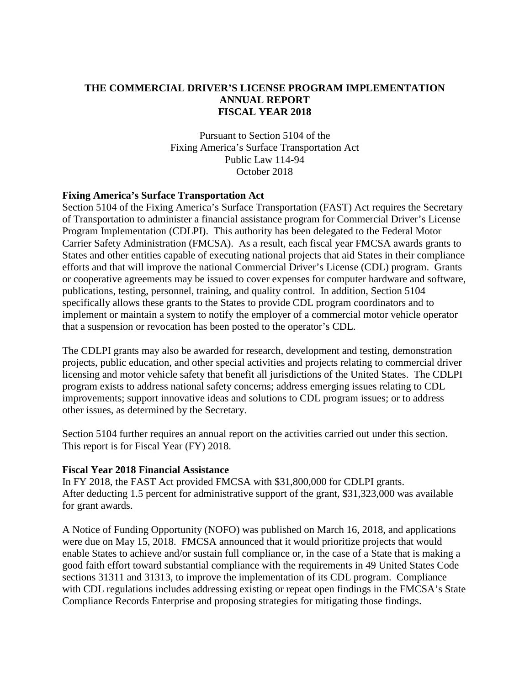## **THE COMMERCIAL DRIVER'S LICENSE PROGRAM IMPLEMENTATION ANNUAL REPORT FISCAL YEAR 2018**

Pursuant to Section 5104 of the Fixing America's Surface Transportation Act Public Law 114-94 October 2018

#### **Fixing America's Surface Transportation Act**

Section 5104 of the Fixing America's Surface Transportation (FAST) Act requires the Secretary of Transportation to administer a financial assistance program for Commercial Driver's License Program Implementation (CDLPI). This authority has been delegated to the Federal Motor Carrier Safety Administration (FMCSA). As a result, each fiscal year FMCSA awards grants to States and other entities capable of executing national projects that aid States in their compliance efforts and that will improve the national Commercial Driver's License (CDL) program. Grants or cooperative agreements may be issued to cover expenses for computer hardware and software, publications, testing, personnel, training, and quality control. In addition, Section 5104 specifically allows these grants to the States to provide CDL program coordinators and to implement or maintain a system to notify the employer of a commercial motor vehicle operator that a suspension or revocation has been posted to the operator's CDL.

The CDLPI grants may also be awarded for research, development and testing, demonstration projects, public education, and other special activities and projects relating to commercial driver licensing and motor vehicle safety that benefit all jurisdictions of the United States. The CDLPI program exists to address national safety concerns; address emerging issues relating to CDL improvements; support innovative ideas and solutions to CDL program issues; or to address other issues, as determined by the Secretary.

Section 5104 further requires an annual report on the activities carried out under this section. This report is for Fiscal Year (FY) 2018.

#### **Fiscal Year 2018 Financial Assistance**

In FY 2018, the FAST Act provided FMCSA with \$31,800,000 for CDLPI grants. After deducting 1.5 percent for administrative support of the grant, \$31,323,000 was available for grant awards.

A Notice of Funding Opportunity (NOFO) was published on March 16, 2018, and applications were due on May 15, 2018. FMCSA announced that it would prioritize projects that would enable States to achieve and/or sustain full compliance or, in the case of a State that is making a good faith effort toward substantial compliance with the requirements in 49 United States Code sections 31311 and 31313, to improve the implementation of its CDL program. Compliance with CDL regulations includes addressing existing or repeat open findings in the FMCSA's State Compliance Records Enterprise and proposing strategies for mitigating those findings.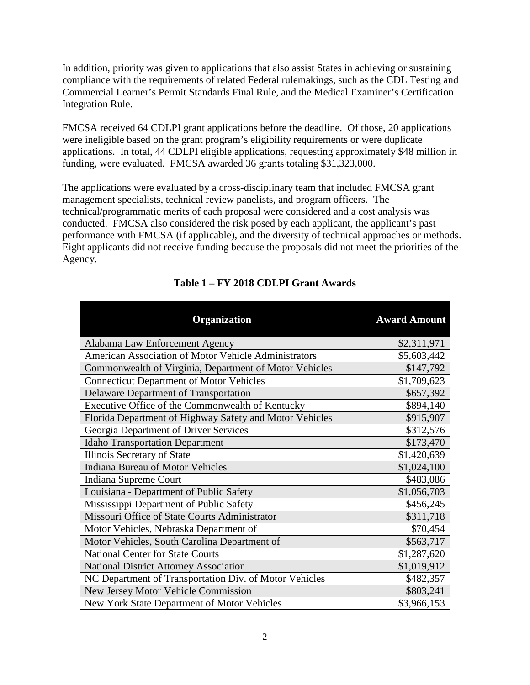In addition, priority was given to applications that also assist States in achieving or sustaining compliance with the requirements of related Federal rulemakings, such as the CDL Testing and Commercial Learner's Permit Standards Final Rule, and the Medical Examiner's Certification Integration Rule.

FMCSA received 64 CDLPI grant applications before the deadline. Of those, 20 applications were ineligible based on the grant program's eligibility requirements or were duplicate applications. In total, 44 CDLPI eligible applications, requesting approximately \$48 million in funding, were evaluated. FMCSA awarded 36 grants totaling \$31,323,000.

The applications were evaluated by a cross-disciplinary team that included FMCSA grant management specialists, technical review panelists, and program officers. The technical/programmatic merits of each proposal were considered and a cost analysis was conducted. FMCSA also considered the risk posed by each applicant, the applicant's past performance with FMCSA (if applicable), and the diversity of technical approaches or methods. Eight applicants did not receive funding because the proposals did not meet the priorities of the Agency.

| Organization                                            | <b>Award Amount</b> |
|---------------------------------------------------------|---------------------|
| Alabama Law Enforcement Agency                          | \$2,311,971         |
| American Association of Motor Vehicle Administrators    | \$5,603,442         |
| Commonwealth of Virginia, Department of Motor Vehicles  | \$147,792           |
| <b>Connecticut Department of Motor Vehicles</b>         | \$1,709,623         |
| Delaware Department of Transportation                   | \$657,392           |
| Executive Office of the Commonwealth of Kentucky        | \$894,140           |
| Florida Department of Highway Safety and Motor Vehicles | \$915,907           |
| Georgia Department of Driver Services                   | \$312,576           |
| <b>Idaho Transportation Department</b>                  | \$173,470           |
| Illinois Secretary of State                             | \$1,420,639         |
| <b>Indiana Bureau of Motor Vehicles</b>                 | \$1,024,100         |
| Indiana Supreme Court                                   | \$483,086           |
| Louisiana - Department of Public Safety                 | \$1,056,703         |
| Mississippi Department of Public Safety                 | \$456,245           |
| Missouri Office of State Courts Administrator           | \$311,718           |
| Motor Vehicles, Nebraska Department of                  | \$70,454            |
| Motor Vehicles, South Carolina Department of            | \$563,717           |
| <b>National Center for State Courts</b>                 | \$1,287,620         |
| <b>National District Attorney Association</b>           | \$1,019,912         |
| NC Department of Transportation Div. of Motor Vehicles  | \$482,357           |
| New Jersey Motor Vehicle Commission                     | \$803,241           |
| New York State Department of Motor Vehicles             | \$3,966,153         |

# **Table 1 – FY 2018 CDLPI Grant Awards**